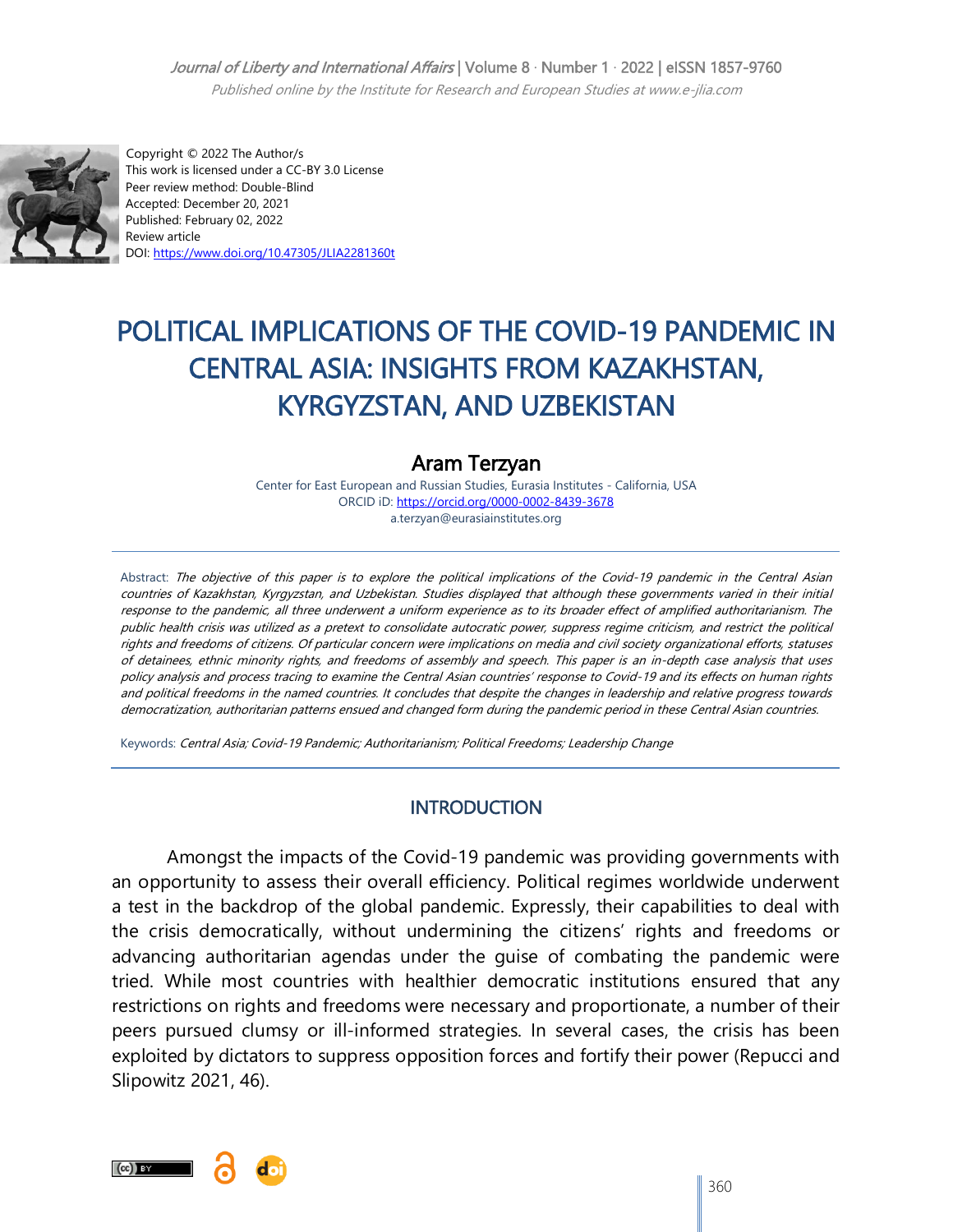#### Journal of Liberty and International Affairs | Volume 8 · Number 1 · 2022 | eISSN 1857-9760

Published online by the Institute for Research and European Studies at www.e-jlia.com



 Copyright © 2022 The Author/s This work is licensed under a CC-BY 3.0 License Peer review method: Double-Blind Accepted: December 20, 2021 Published: February 02, 2022 Review article DOI[: https://www.doi.org/10.47305/JLIA2281360t](https://www.doi.org/10.47305/JLIA2281360t)

# POLITICAL IMPLICATIONS OF THE COVID-19 PANDEMIC IN CENTRAL ASIA: INSIGHTS FROM KAZAKHSTAN, KYRGYZSTAN, AND UZBEKISTAN

# Aram Terzyan

Center for East European and Russian Studies, Eurasia Institutes - California, USA ORCID iD: <https://orcid.org/0000-0002-8439-3678> a.terzyan@eurasiainstitutes.org

Abstract: The objective of this paper is to explore the political implications of the Covid-19 pandemic in the Central Asian countries of Kazakhstan, Kyrgyzstan, and Uzbekistan. Studies displayed that although these governments varied in their initial response to the pandemic, all three underwent a uniform experience as to its broader effect of amplified authoritarianism. The public health crisis was utilized as a pretext to consolidate autocratic power, suppress regime criticism, and restrict the political rights and freedoms of citizens. Of particular concern were implications on media and civil society organizational efforts, statuses of detainees, ethnic minority rights, and freedoms of assembly and speech. This paper is an in-depth case analysis that uses policy analysis and process tracing to examine the Central Asian countries" response to Covid-19 and its effects on human rights and political freedoms in the named countries. It concludes that despite the changes in leadership and relative progress towards democratization, authoritarian patterns ensued and changed form during the pandemic period in these Central Asian countries.

Keywords: Central Asia; Covid-19 Pandemic; Authoritarianism; Political Freedoms; Leadership Change

#### **INTRODUCTION**

Amongst the impacts of the Covid-19 pandemic was providing governments with an opportunity to assess their overall efficiency. Political regimes worldwide underwent a test in the backdrop of the global pandemic. Expressly, their capabilities to deal with the crisis democratically, without undermining the citizens" rights and freedoms or advancing authoritarian agendas under the guise of combating the pandemic were tried. While most countries with healthier democratic institutions ensured that any restrictions on rights and freedoms were necessary and proportionate, a number of their peers pursued clumsy or ill-informed strategies. In several cases, the crisis has been exploited by dictators to suppress opposition forces and fortify their power (Repucci and Slipowitz 2021, 46).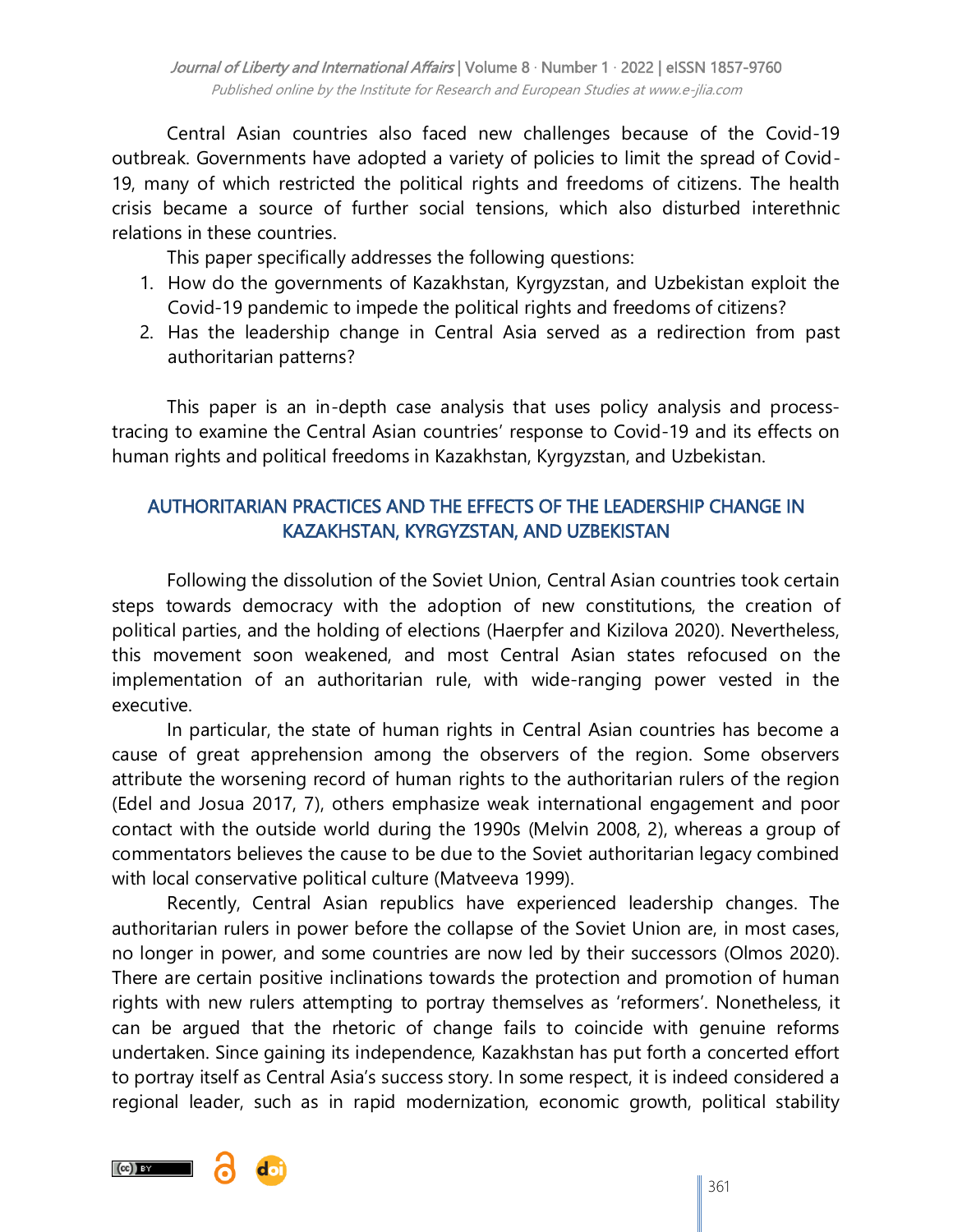Central Asian countries also faced new challenges because of the Covid-19 outbreak. Governments have adopted a variety of policies to limit the spread of Covid-19, many of which restricted the political rights and freedoms of citizens. The health crisis became a source of further social tensions, which also disturbed interethnic relations in these countries.

This paper specifically addresses the following questions:

- 1. How do the governments of Kazakhstan, Kyrgyzstan, and Uzbekistan exploit the Covid-19 pandemic to impede the political rights and freedoms of citizens?
- 2. Has the leadership change in Central Asia served as a redirection from past authoritarian patterns?

This paper is an in-depth case analysis that uses policy analysis and processtracing to examine the Central Asian countries" response to Covid-19 and its effects on human rights and political freedoms in Kazakhstan, Kyrgyzstan, and Uzbekistan.

## AUTHORITARIAN PRACTICES AND THE EFFECTS OF THE LEADERSHIP CHANGE IN KAZAKHSTAN, KYRGYZSTAN, AND UZBEKISTAN

Following the dissolution of the Soviet Union, Central Asian countries took certain steps towards democracy with the adoption of new constitutions, the creation of political parties, and the holding of elections (Haerpfer and Kizilova 2020). Nevertheless, this movement soon weakened, and most Central Asian states refocused on the implementation of an authoritarian rule, with wide-ranging power vested in the executive.

In particular, the state of human rights in Central Asian countries has become a cause of great apprehension among the observers of the region. Some observers attribute the worsening record of human rights to the authoritarian rulers of the region (Edel and Josua 2017, 7), others emphasize weak international engagement and poor contact with the outside world during the 1990s (Melvin 2008, 2), whereas a group of commentators believes the cause to be due to the Soviet authoritarian legacy combined with local conservative political culture (Matveeva 1999).

Recently, Central Asian republics have experienced leadership changes. The authoritarian rulers in power before the collapse of the Soviet Union are, in most cases, no longer in power, and some countries are now led by their successors (Olmos 2020). There are certain positive inclinations towards the protection and promotion of human rights with new rulers attempting to portray themselves as 'reformers'. Nonetheless, it can be argued that the rhetoric of change fails to coincide with genuine reforms undertaken. Since gaining its independence, Kazakhstan has put forth a concerted effort to portray itself as Central Asia"s success story. In some respect, it is indeed considered a regional leader, such as in rapid modernization, economic growth, political stability

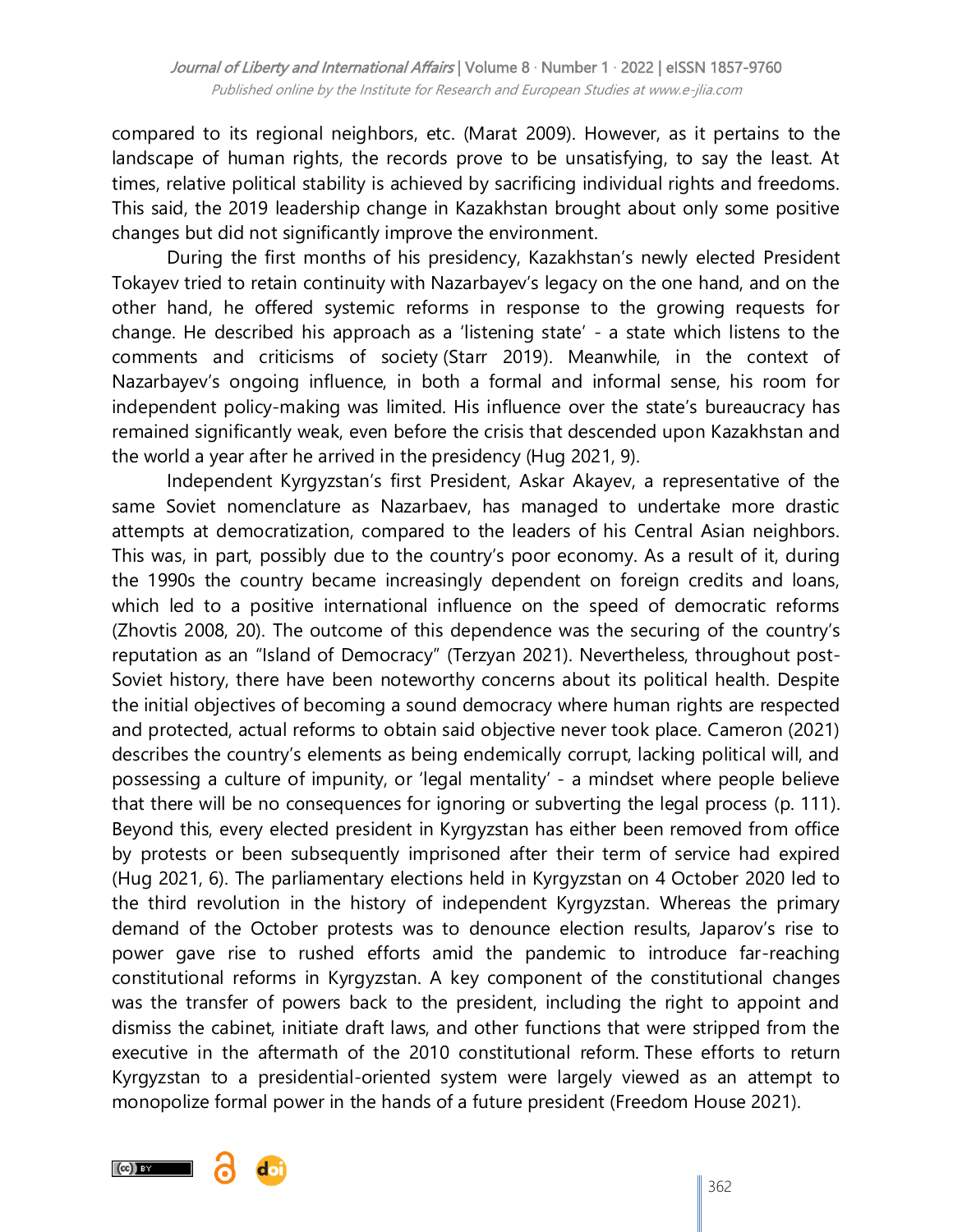compared to its regional neighbors, etc. (Marat 2009). However, as it pertains to the landscape of human rights, the records prove to be unsatisfying, to say the least. At times, relative political stability is achieved by sacrificing individual rights and freedoms. This said, the 2019 leadership change in Kazakhstan brought about only some positive changes but did not significantly improve the environment.

During the first months of his presidency, Kazakhstan's newly elected President Tokayev tried to retain continuity with Nazarbayev"s legacy on the one hand, and on the other hand, he offered systemic reforms in response to the growing requests for change. He described his approach as a "listening state" - a state which listens to the comments and criticisms of society (Starr 2019). Meanwhile, in the context of Nazarbayev"s ongoing influence, in both a formal and informal sense, his room for independent policy-making was limited. His influence over the state's bureaucracy has remained significantly weak, even before the crisis that descended upon Kazakhstan and the world a year after he arrived in the presidency (Hug 2021, 9).

Independent Kyrgyzstan's first President, Askar Akayev, a representative of the same Soviet nomenclature as Nazarbaev, has managed to undertake more drastic attempts at democratization, compared to the leaders of his Central Asian neighbors. This was, in part, possibly due to the country's poor economy. As a result of it, during the 1990s the country became increasingly dependent on foreign credits and loans, which led to a positive international influence on the speed of democratic reforms (Zhovtis 2008, 20). The outcome of this dependence was the securing of the country"s reputation as an "Island of Democracy" (Terzyan 2021). Nevertheless, throughout post-Soviet history, there have been noteworthy concerns about its political health. Despite the initial objectives of becoming a sound democracy where human rights are respected and protected, actual reforms to obtain said objective never took place. Cameron (2021) describes the country"s elements as being endemically corrupt, lacking political will, and possessing a culture of impunity, or "legal mentality" - a mindset where people believe that there will be no consequences for ignoring or subverting the legal process (p. 111). Beyond this, every elected president in Kyrgyzstan has either been removed from office by protests or been subsequently imprisoned after their term of service had expired (Hug 2021, 6). The parliamentary elections held in Kyrgyzstan on 4 October 2020 led to the third revolution in the history of independent Kyrgyzstan. Whereas the primary demand of the October protests was to denounce election results, Japarov"s rise to power gave rise to rushed efforts amid the pandemic to introduce far-reaching constitutional reforms in Kyrgyzstan. A key component of the constitutional changes was the transfer of powers back to the president, including the right to appoint and dismiss the cabinet, initiate draft laws, and other functions that were stripped from the executive in the aftermath of the 2010 constitutional reform. These efforts to return Kyrgyzstan to a presidential-oriented system were largely viewed as an attempt to monopolize formal power in the hands of a future president (Freedom House 2021).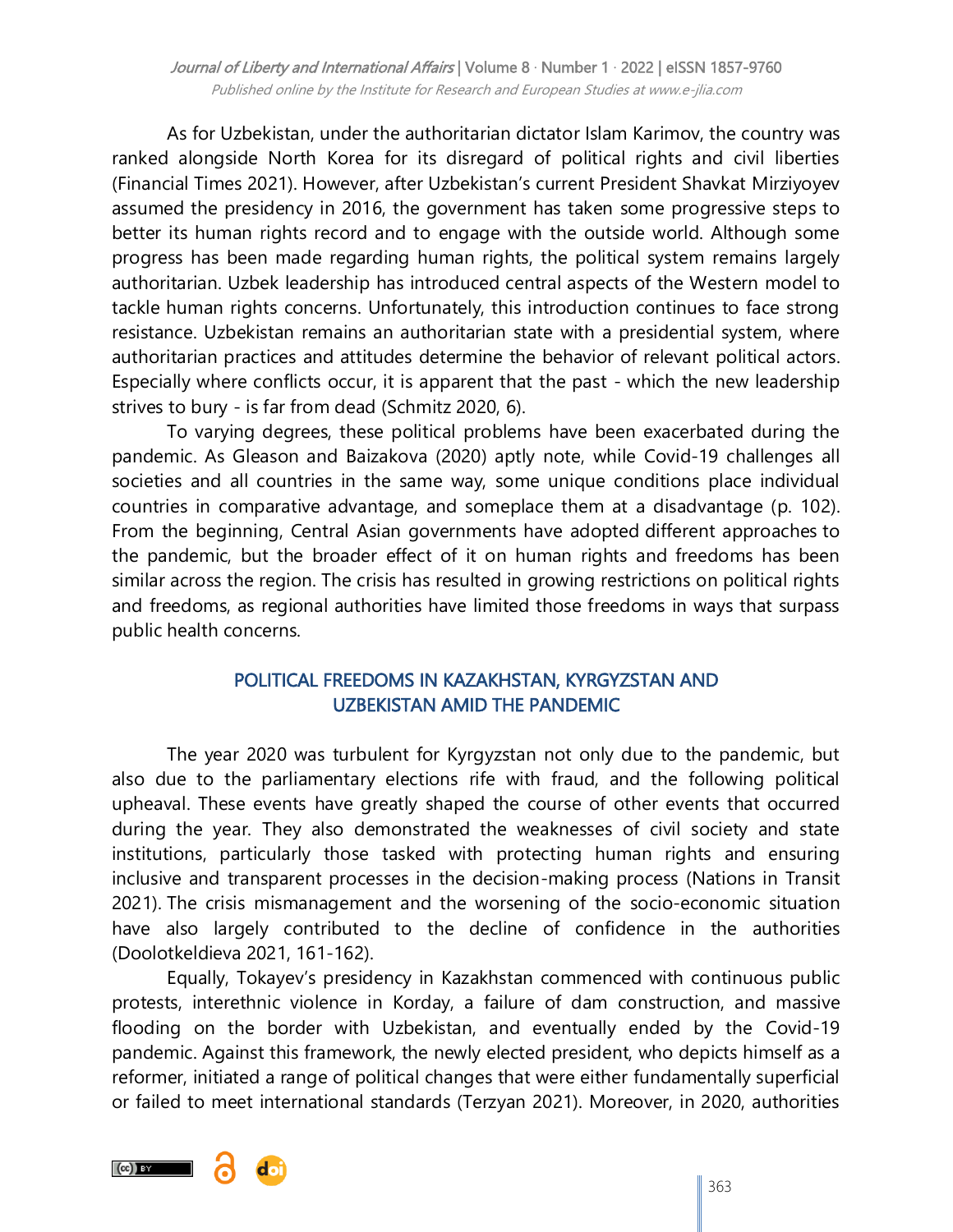As for Uzbekistan, under the authoritarian dictator Islam Karimov, the country was ranked alongside North Korea for its disregard of political rights and civil liberties (Financial Times 2021). However, after Uzbekistan"s current President Shavkat Mirziyoyev assumed the presidency in 2016, the government has taken some progressive steps to better its human rights record and to engage with the outside world. Although some progress has been made regarding human rights, the political system remains largely authoritarian. Uzbek leadership has introduced central aspects of the Western model to tackle human rights concerns. Unfortunately, this introduction continues to face strong resistance. Uzbekistan remains an authoritarian state with a presidential system, where authoritarian practices and attitudes determine the behavior of relevant political actors. Especially where conflicts occur, it is apparent that the past - which the new leadership strives to bury - is far from dead (Schmitz 2020, 6).

To varying degrees, these political problems have been exacerbated during the pandemic. As Gleason and Baizakova (2020) aptly note, while Covid-19 challenges all societies and all countries in the same way, some unique conditions place individual countries in comparative advantage, and someplace them at a disadvantage (p. 102). From the beginning, Central Asian governments have adopted [different approaches](https://www.iphronline.org/wp-content/uploads/2020/10/Covid-19-CA-regional-report-final.pdf) to the pandemic, but the broader effect of it on human rights and freedoms has been similar across the region. The crisis has resulted in growing restrictions on political rights and freedoms, as regional authorities have limited those freedoms in ways that surpass public health concerns.

## POLITICAL FREEDOMS IN KAZAKHSTAN, KYRGYZSTAN AND UZBEKISTAN AMID THE PANDEMIC

The year 2020 was turbulent for Kyrgyzstan not only due to the pandemic, but also due to the parliamentary elections rife with fraud, and the following political upheaval. These events have greatly shaped the course of other events that occurred during the year. They also demonstrated the weaknesses of civil society and state institutions, particularly those tasked with protecting human rights and ensuring inclusive and transparent processes in the decision-making process (Nations in Transit 2021). The crisis mismanagement and the worsening of the socio-economic situation have also largely contributed to the decline of confidence in the authorities (Doolotkeldieva 2021, 161-162).

Equally, Tokayev"s presidency in Kazakhstan commenced with continuous public protests, interethnic violence in Korday, a failure of dam construction, and massive flooding on the border with Uzbekistan, and eventually ended by the Covid-19 pandemic. Against this framework, the newly elected president, who depicts himself as a reformer, initiated a range of political changes that were either fundamentally superficial or failed to meet international standards (Terzyan 2021). Moreover, in 2020, authorities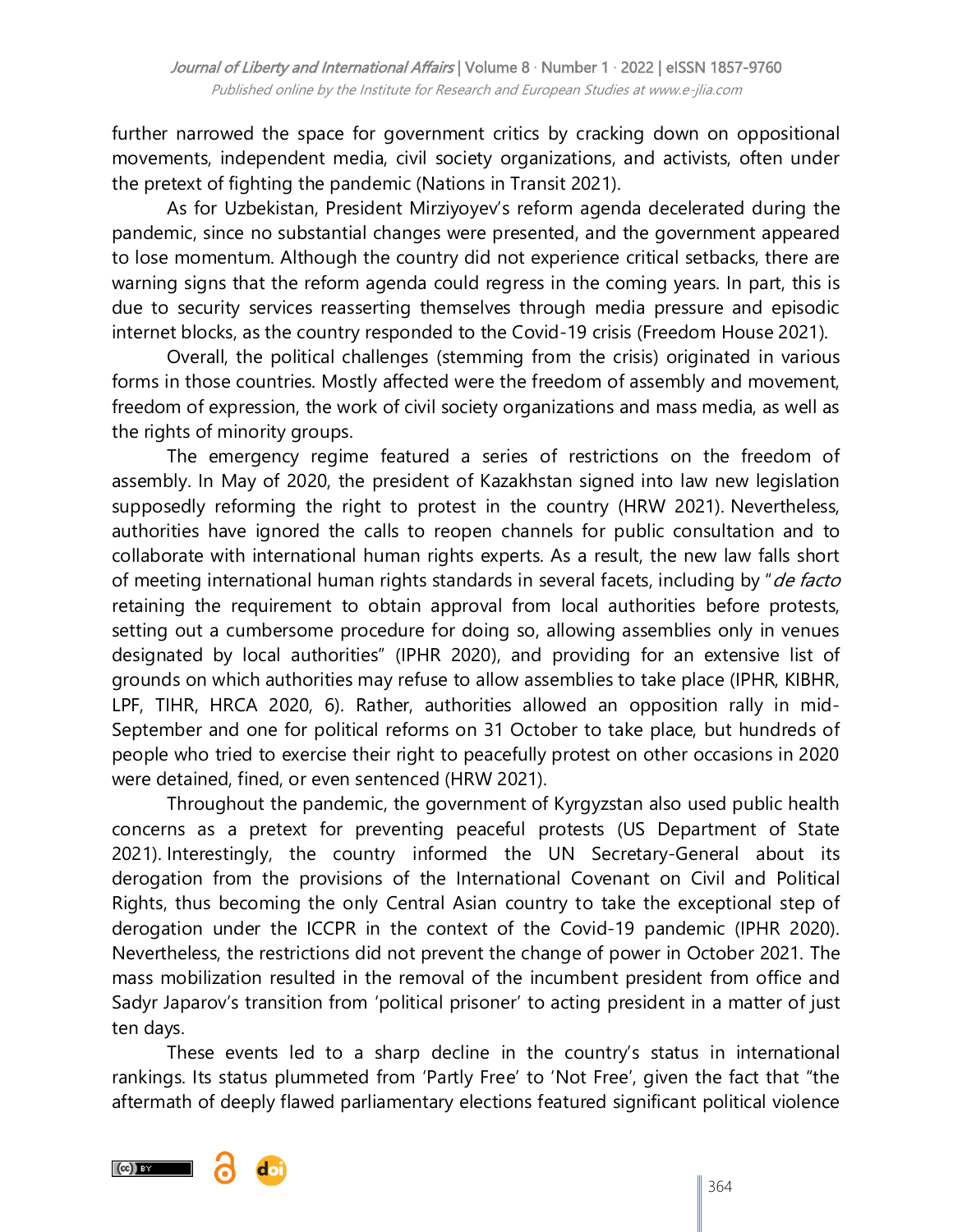further narrowed the space for government critics by cracking down on oppositional movements, independent media, civil society organizations, and activists, often under the pretext of fighting the pandemic (Nations in Transit 2021).

As for Uzbekistan, President Mirziyoyev"s reform agenda decelerated during the pandemic, since no substantial changes were presented, and the government appeared to lose momentum. Although the country did not experience critical setbacks, there are warning signs that the reform agenda could regress in the coming years. In part, this is due to security services reasserting themselves through media pressure and episodic internet blocks, as the country responded to the Covid-19 crisis (Freedom House 2021).

Overall, the political challenges (stemming from the crisis) originated in various forms in those countries. Mostly affected were the freedom of assembly and movement, freedom of expression, the work of civil society organizations and mass media, as well as the rights of minority groups.

The emergency regime featured a series of restrictions on the freedom of assembly. In May of 2020, the president of Kazakhstan signed into law new legislation supposedly reforming the right to protest in the country (HRW 2021). Nevertheless, authorities have ignored the calls to reopen channels for public consultation and to collaborate with international human rights experts. As a result, the new law falls short of meeting international human rights standards in several facets, including by "de facto retaining the requirement to obtain approval from local authorities before protests, setting out a cumbersome procedure for doing so, allowing assemblies only in venues designated by local authorities" (IPHR 2020), and providing for an extensive list of grounds on which authorities may refuse to allow assemblies to take place (IPHR, KIBHR, LPF, TIHR, HRCA 2020, 6). Rather, authorities allowed an opposition rally in mid-September and one for political reforms on 31 October to take place, but hundreds of people who tried to exercise their right to peacefully protest on other occasions in 2020 were detained, fined, or even sentenced (HRW 2021).

Throughout the pandemic, the government of Kyrgyzstan also used public health concerns as a pretext for preventing peaceful protests (US Department of State 2021). Interestingly, the country informed the UN Secretary-General about its derogation from the provisions of the International Covenant on Civil and Political Rights, thus becoming the only Central Asian country to take the exceptional step of derogation under the ICCPR in the context of the Covid-19 pandemic (IPHR 2020). Nevertheless, the restrictions did not prevent the change of power in October 2021. The mass mobilization resulted in the removal of the incumbent president from office and Sadyr Japarov's transition from 'political prisoner' to acting president in a matter of just ten days.

These events led to a sharp decline in the country's status in international rankings. Its status plummeted from 'Partly Free' to 'Not Free', given the fact that "the aftermath of deeply flawed parliamentary elections featured significant political violence

 $(cc)$  BY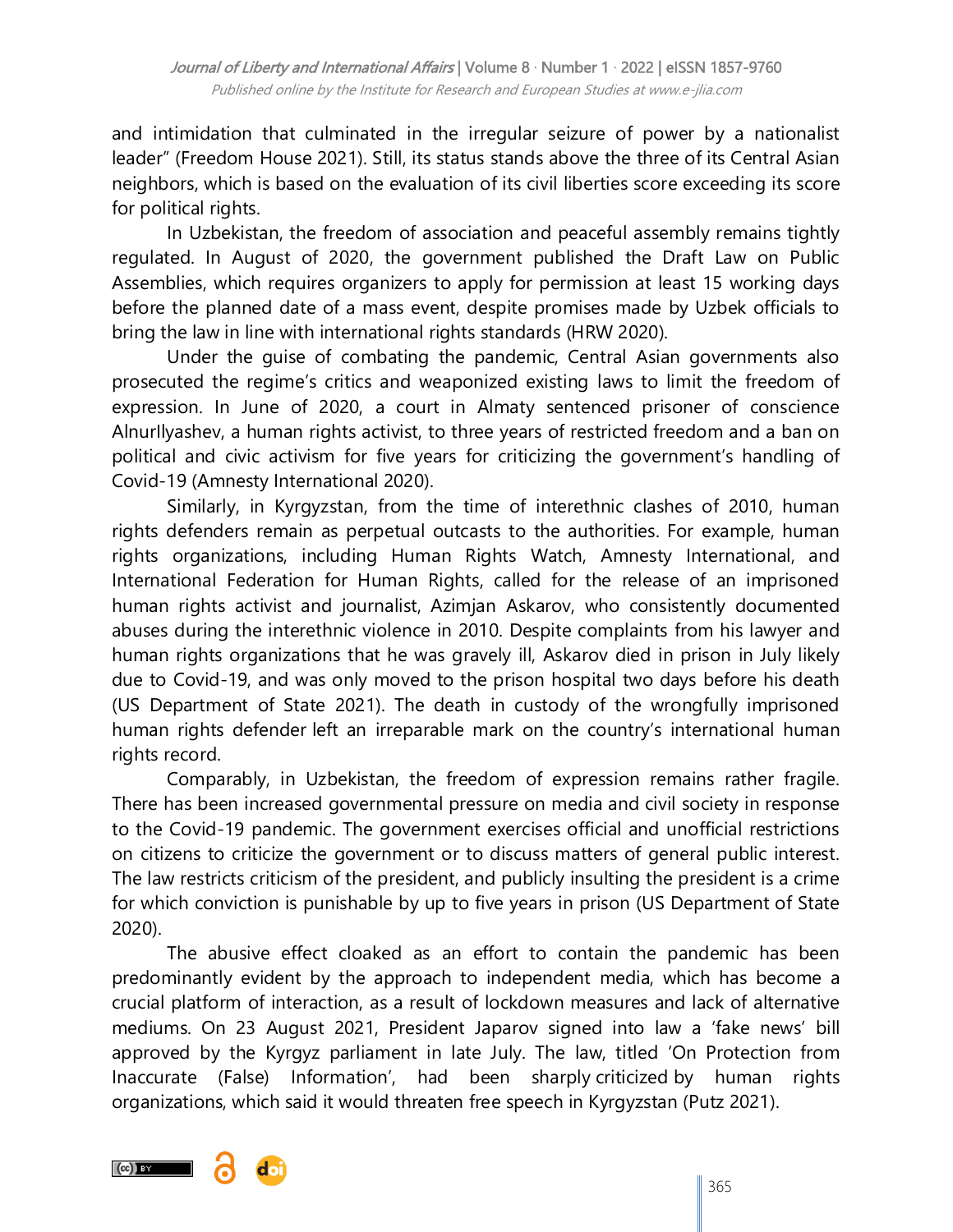and intimidation that culminated in the irregular seizure of power by a nationalist leader" (Freedom House 2021). Still, its status stands above the three of its Central Asian neighbors, which is based on the evaluation of its civil liberties score exceeding its score for political rights.

In Uzbekistan, the freedom of association and peaceful assembly remains tightly regulated. In August of 2020, the government published the Draft Law on Public Assemblies, which requires organizers to apply for permission at least 15 working days before the planned date of a mass event, despite promises made by Uzbek officials to bring the law in line with international rights standards (HRW 2020).

Under the guise of combating the pandemic, Central Asian governments also prosecuted the regime"s critics and weaponized existing laws to limit the freedom of expression. In June of 2020, a court in Almaty sentenced prisoner of conscience AlnurIlyashev, a human rights activist, to three years of restricted freedom and a ban on political and civic activism for five years for criticizing the government's handling of Covid-19 (Amnesty International 2020).

Similarly, in Kyrgyzstan, from the time of interethnic clashes of 2010, human rights defenders remain as perpetual outcasts to the authorities. For example, human rights organizations, including Human Rights Watch, Amnesty International, and International Federation for Human Rights, called for the release of an imprisoned human rights activist and journalist, Azimjan Askarov, who consistently documented abuses during the interethnic violence in 2010. Despite complaints from his lawyer and human rights organizations that he was gravely ill, Askarov died in prison in July likely due to Covid-19, and was only moved to the prison hospital two days before his death (US Department of State 2021). The death in custody of the wrongfully imprisoned human rights defender left an irreparable mark on the country's international human rights record.

Comparably, in Uzbekistan, the freedom of expression remains rather fragile. There has been increased governmental pressure on media and civil society in response to the Covid-19 pandemic. The government exercises official and unofficial restrictions on citizens to criticize the government or to discuss matters of general public interest. The law restricts criticism of the president, and publicly insulting the president is a crime for which conviction is punishable by up to five years in prison (US Department of State 2020).

The abusive effect cloaked as an effort to contain the pandemic has been predominantly evident by the approach to independent media, which has become a crucial platform of interaction, as a result of lockdown measures and lack of alternative mediums. On 23 August 2021, President Japarov signed into law a "fake news" bill approved by the Kyrgyz parliament in late July. The law, titled "On Protection from Inaccurate (False) Information", had been sharply [criticized](https://www.hrw.org/news/2021/08/03/kyrgyzstan-false-information-law-threatens-free-speech) by human rights organizations, which said it would threaten free speech in Kyrgyzstan (Putz 2021).

 $(cc)$  by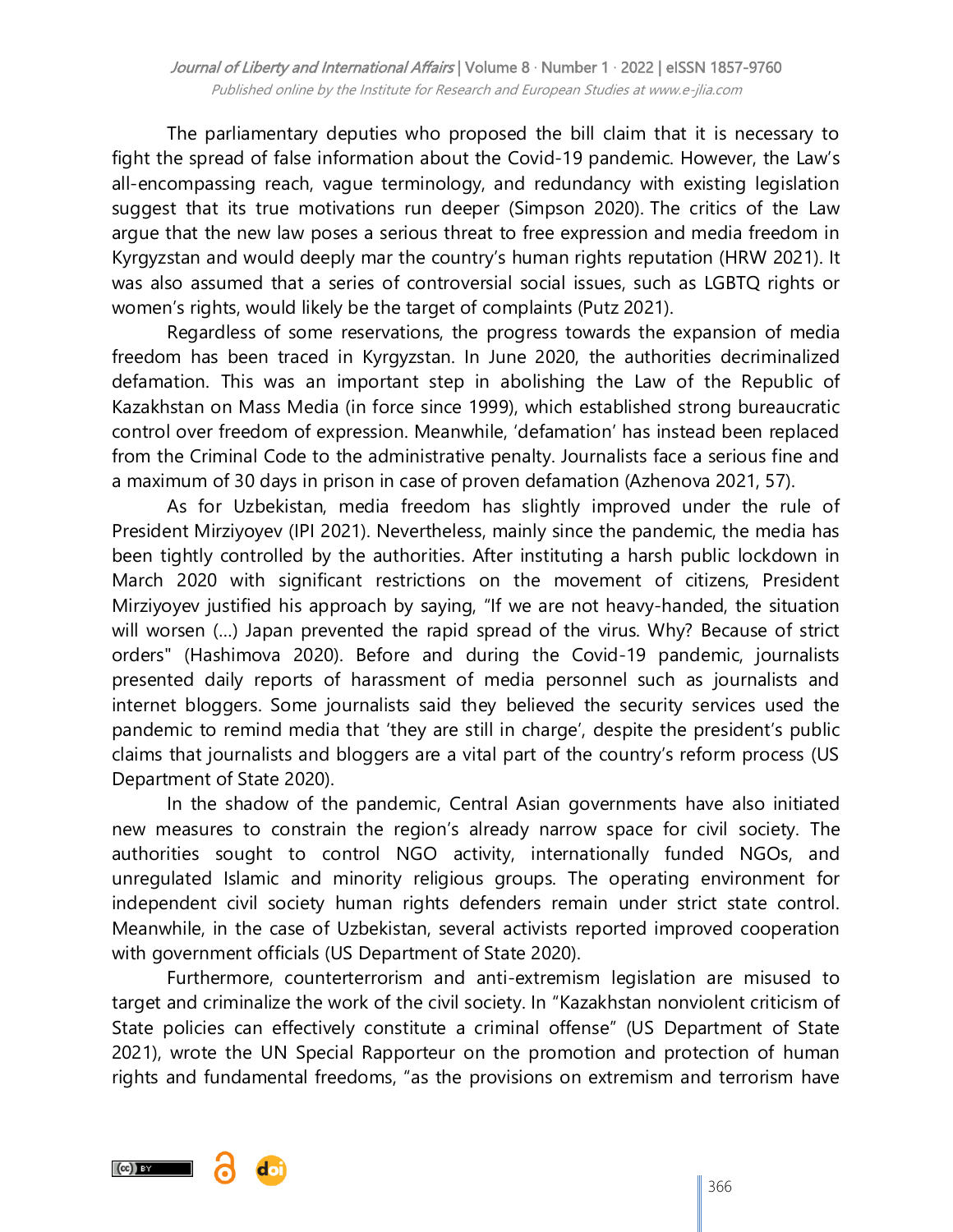The parliamentary deputies who proposed the bill claim that it is necessary to fight the spread of false information about the Covid-19 pandemic. However, the Law"s all-encompassing reach, vague terminology, and redundancy with existing legislation suggest that its true motivations run deeper (Simpson 2020). The critics of the Law argue that the new law poses a serious threat to free expression and media freedom in Kyrgyzstan and would deeply mar the country"s human rights reputation (HRW 2021). It was also assumed that a series of controversial social issues, such as LGBTQ rights or women"s rights, would likely be the target of complaints (Putz 2021).

Regardless of some reservations, the progress towards the expansion of media freedom has been traced in Kyrgyzstan. In June 2020, the authorities decriminalized defamation. This was an important step in abolishing the Law of the Republic of Kazakhstan on Mass Media (in force since 1999), which established strong bureaucratic control over freedom of expression. Meanwhile, "defamation" has instead been replaced from the Criminal Code to the administrative penalty. Journalists face a serious fine and a maximum of 30 days in prison in case of proven defamation (Azhenova 2021, 57).

As for Uzbekistan, media freedom has slightly improved under the rule of President Mirziyoyev (IPI 2021). Nevertheless, mainly since the pandemic, the media has been tightly controlled by the authorities. After instituting a harsh public lockdown in March 2020 with significant restrictions on the movement of citizens, President Mirziyoyev justified his approach by saying, "If we are not heavy-handed, the situation will worsen (…) Japan prevented the rapid spread of the virus. Why? Because of strict orders" (Hashimova 2020). Before and during the Covid-19 pandemic, journalists presented daily reports of harassment of media personnel such as journalists and internet bloggers. Some journalists said they believed the security services used the pandemic to remind media that 'they are still in charge', despite the president's public claims that journalists and bloggers are a vital part of the country"s reform process (US Department of State 2020).

In the shadow of the pandemic, Central Asian governments have also initiated new measures to constrain the region's already narrow space for civil society. The authorities sought to control NGO activity, internationally funded NGOs, and unregulated Islamic and minority religious groups. The operating environment for independent civil society human rights defenders remain under strict state control. Meanwhile, in the case of Uzbekistan, several activists reported improved cooperation with government officials (US Department of State 2020).

Furthermore, counterterrorism and anti-extremism legislation are misused to target and criminalize the work of the civil society. In "Kazakhstan nonviolent criticism of State policies can effectively constitute a criminal offense" (US Department of State 2021), wrote the UN Special Rapporteur on the promotion and protection of human rights and fundamental freedoms, "as the provisions on extremism and terrorism have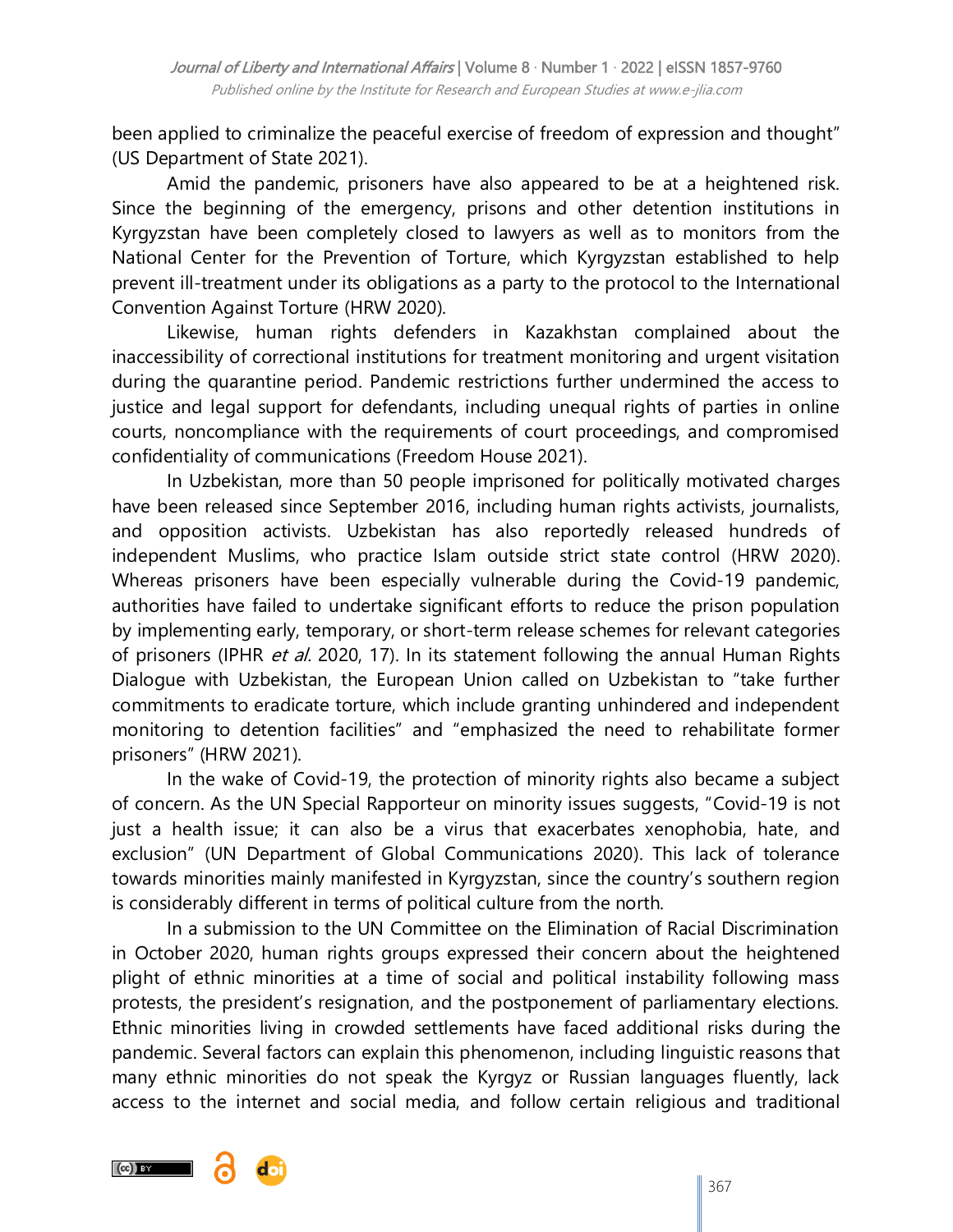been applied to criminalize the peaceful exercise of freedom of expression and thought" (US Department of State 2021).

Amid the pandemic, prisoners have also appeared to be at a heightened risk. Since the beginning of the emergency, prisons and other detention institutions in Kyrgyzstan have been completely closed to lawyers as well as to monitors from the National Center for the Prevention of Torture, which Kyrgyzstan established to help prevent ill-treatment under its obligations as a party to the [protocol to the International](http://docstore.ohchr.org/SelfServices/FilesHandler.ashx?enc=6QkG1d%2fPPRiCAqhKb7yhsq2drLEhBmGjliBAZD4C6vkcaccbdoKxP8iiPANImAOR3h33T59gIJet%2f5Rrk6ZGPAR5KxHPVNmt%2bOuqgGtvVZwS%2f3KcaxdGdHadotspYffV)  [Convention Against Torture](http://docstore.ohchr.org/SelfServices/FilesHandler.ashx?enc=6QkG1d%2fPPRiCAqhKb7yhsq2drLEhBmGjliBAZD4C6vkcaccbdoKxP8iiPANImAOR3h33T59gIJet%2f5Rrk6ZGPAR5KxHPVNmt%2bOuqgGtvVZwS%2f3KcaxdGdHadotspYffV) (HRW 2020).

Likewise, human rights defenders in Kazakhstan complained about the inaccessibility of correctional institutions for treatment monitoring and urgent visitation during the quarantine period. Pandemic restrictions further undermined the access to justice and legal support for defendants, including unequal rights of parties in online courts, noncompliance with the requirements of court proceedings, and compromised confidentiality of communications (Freedom House 2021).

In Uzbekistan, more than 50 people imprisoned for politically motivated charges have been released since September 2016, including human rights activists, journalists, and opposition activists. Uzbekistan has also reportedly released hundreds of independent Muslims, who practice Islam outside strict state control (HRW 2020). Whereas prisoners have been especially vulnerable during the Covid-19 pandemic, authorities have failed to undertake significant efforts to reduce the prison population by implementing early, temporary, or short-term release schemes for relevant categories of prisoners (IPHR et al. 2020, 17). In its statement following the annual Human Rights Dialogue with Uzbekistan, the European Union called on Uzbekistan to "take further commitments to eradicate torture, which include granting unhindered and independent monitoring to detention facilities" and "emphasized the need to rehabilitate former prisoners" (HRW 2021).

In the wake of Covid-19, the protection of minority rights also became a subject of concern. As the UN Special Rapporteur on minority issues suggests, "Covid-19 is not just a health issue; it can also be a virus that exacerbates xenophobia, hate, and exclusion" (UN Department of Global Communications 2020). This lack of tolerance towards minorities mainly manifested in Kyrgyzstan, since the country's southern region is considerably different in terms of political culture from the north.

In a submission to the UN Committee on the Elimination of Racial Discrimination in October 2020, human rights groups expressed their concern about the heightened plight of ethnic minorities at a time of social and political instability following mass protests, the president's resignation, and the postponement of parliamentary elections. Ethnic minorities living in crowded settlements have faced additional risks during the pandemic. Several factors can explain this phenomenon, including linguistic reasons that many ethnic minorities do not speak the Kyrgyz or Russian languages fluently, lack access to the internet and social media, and follow certain religious and traditional

 $(cc)$  by

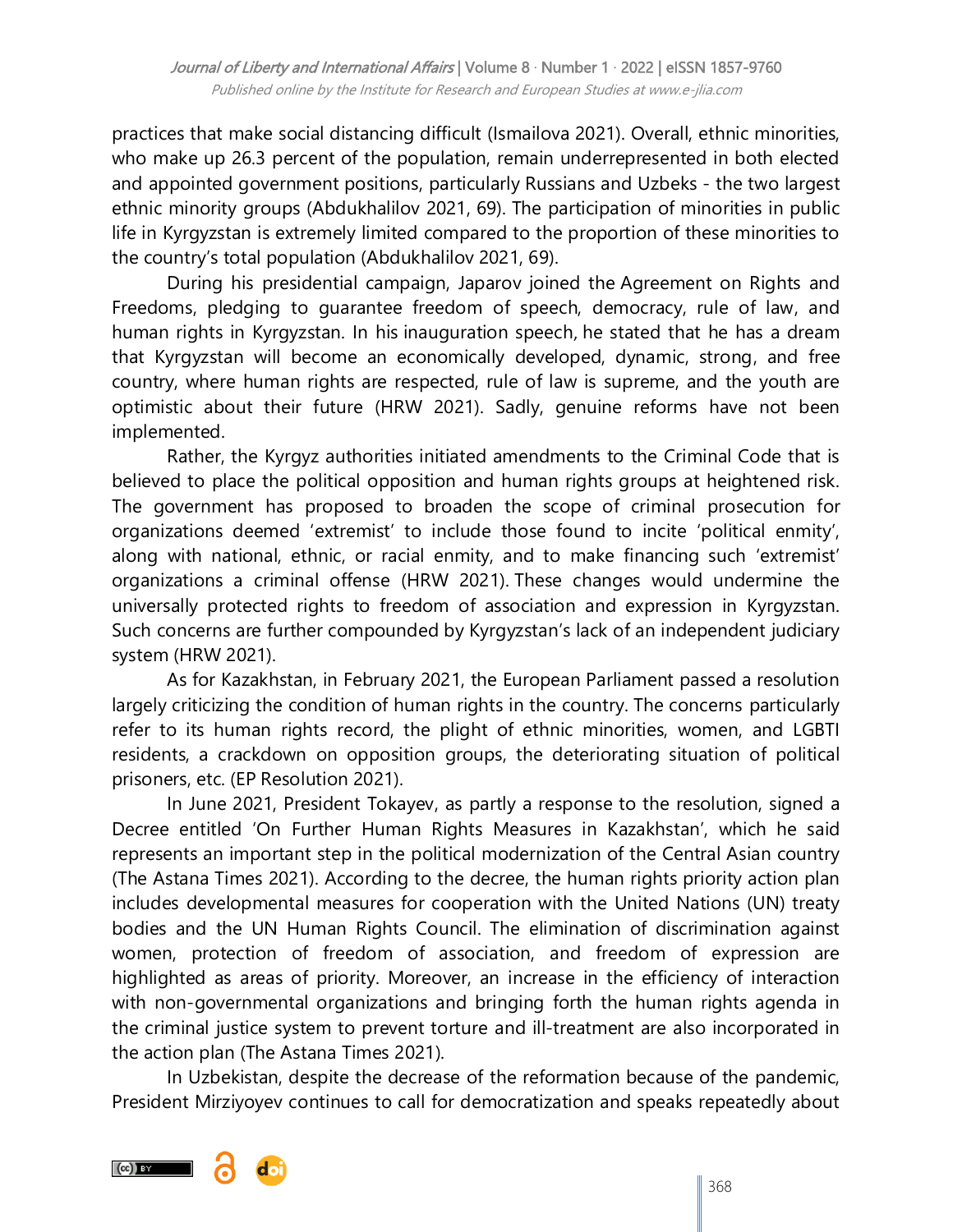practices that make social distancing difficult (Ismailova 2021). Overall, ethnic minorities, who make up 26.3 percent of the population, remain underrepresented in both elected and appointed government positions, particularly Russians and Uzbeks - the two largest ethnic minority groups (Abdukhalilov 2021, 69). The participation of minorities in public life in Kyrgyzstan is extremely limited compared to the proportion of these minorities to the country"s total population (Abdukhalilov 2021, 69).

During his presidential campaign, Japarov joined the [Agreement on Rights and](https://for.kg/news-682121-ru.html)  [Freedoms,](https://for.kg/news-682121-ru.html) pledging to guarantee freedom of speech, democracy, rule of law, and human rights in Kyrgyzstan. In his [inauguration speech](https://ru.sputnik.kg/politics/20210128/1051255086/kyrgyzstan-zhaparov-rech-vystuplenie.html), he stated that he has a dream that Kyrgyzstan will become an economically developed, dynamic, strong, and free country, where human rights are respected, rule of law is supreme, and the youth are optimistic about their future (HRW 2021). Sadly, genuine reforms have not been implemented.

Rather, the Kyrgyz authorities initiated amendments to the Criminal Code that is believed to place the political opposition and human rights groups at heightened risk. The government has proposed to broaden the scope of criminal prosecution for organizations deemed "extremist" to include those found to incite "political enmity", along with national, ethnic, or racial enmity, and to make financing such "extremist" organizations a criminal offense (HRW 2021). These changes would undermine the universally protected rights to freedom of association and expression in Kyrgyzstan. Such concerns are further compounded by Kyrgyzstan's lack of an independent judiciary [system](https://medialaw.kg/2021/04/19/o-proekte-zakona-kr-o-vnesenii-izmenenij-v-nekotorye-zakonodatelnye-akty-kyrgyzskoj-respubliki-v-ugolovnyj-kodeks-kyrgyzskoj-respubliki-ugolovno-processualnyj-kodeks-kyrgyzskoj-respubliki-vkljuchenie/) (HRW 2021).

As for Kazakhstan, in February 2021, the European Parliament passed a resolution largely criticizing the condition of human rights in the country. The concerns particularly refer to its human rights record, the plight of ethnic minorities, women, and LGBTI residents, a crackdown on opposition groups, the deteriorating situation of political prisoners, etc. (EP Resolution 2021).

In June 2021, President Tokayev, as partly a response to the resolution, signed a Decree entitled 'On Further Human Rights Measures in Kazakhstan', which he said represents an important step in the political modernization of the Central Asian country (The Astana Times 2021). According to the decree, the human rights priority action plan includes developmental measures for cooperation with the United Nations (UN) treaty bodies and the UN Human Rights Council. The elimination of discrimination against women, protection of freedom of association, and freedom of expression are highlighted as areas of priority. Moreover, an increase in the efficiency of interaction with non-governmental organizations and bringing forth the human rights agenda in the criminal justice system to prevent torture and ill-treatment are also incorporated in the action plan (The Astana Times 2021).

In Uzbekistan, despite the decrease of the reformation because of the pandemic, President Mirziyoyev continues to call for democratization and speaks repeatedly about

 $(Cc)$  BY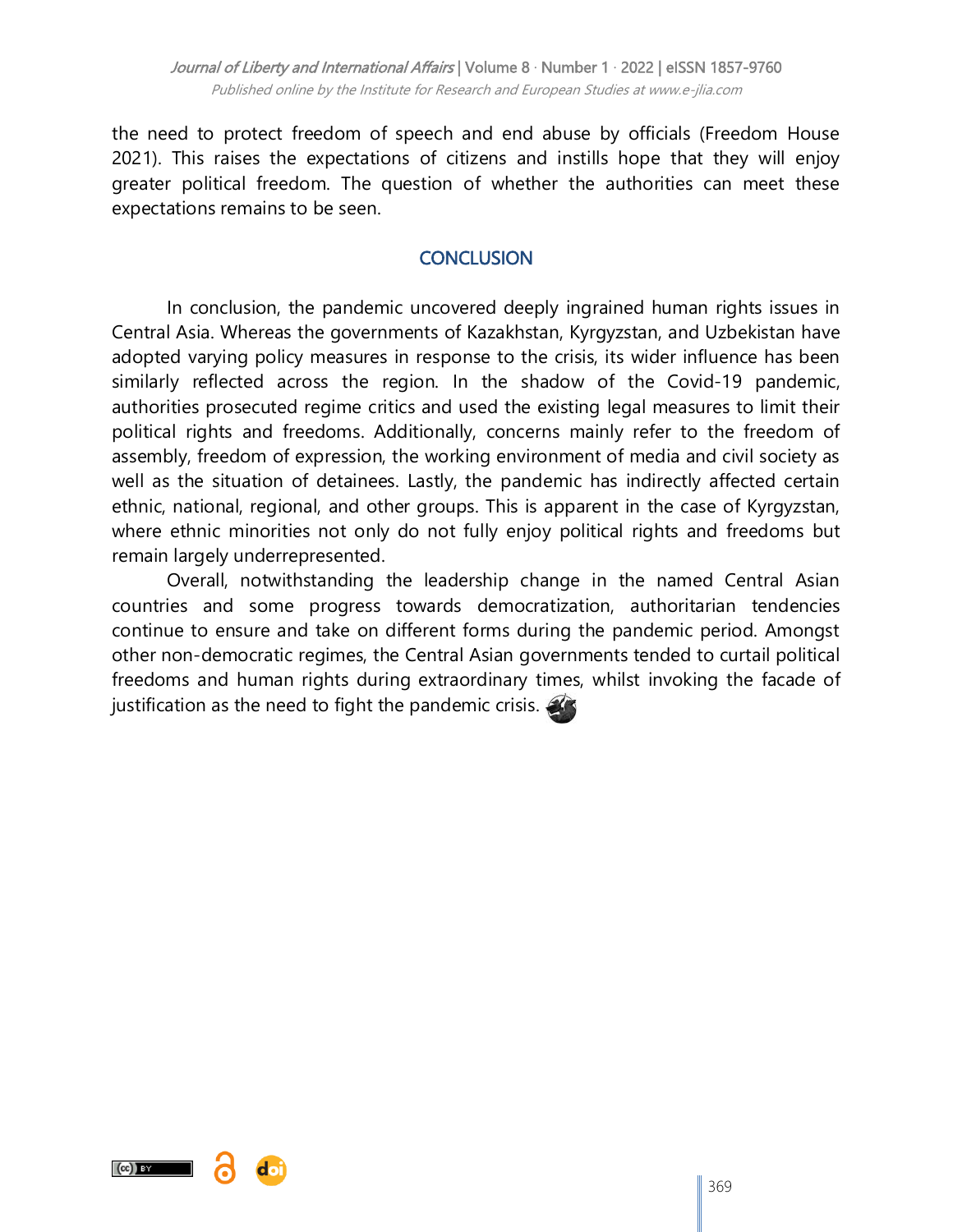the need to protect freedom of speech and end abuse by officials (Freedom House 2021). This raises the expectations of citizens and instills hope that they will enjoy greater political freedom. The question of whether the authorities can meet these expectations remains to be seen.

## **CONCLUSION**

In conclusion, the pandemic uncovered deeply ingrained human rights issues in Central Asia. Whereas the governments of Kazakhstan, Kyrgyzstan, and Uzbekistan have adopted varying policy measures in response to the crisis, its wider influence has been similarly reflected across the region. In the shadow of the Covid-19 pandemic, authorities prosecuted regime critics and used the existing legal measures to limit their political rights and freedoms. Additionally, concerns mainly refer to the freedom of assembly, freedom of expression, the working environment of media and civil society as well as the situation of detainees. Lastly, the pandemic has indirectly affected certain ethnic, national, regional, and other groups. This is apparent in the case of Kyrgyzstan, where ethnic minorities not only do not fully enjoy political rights and freedoms but remain largely underrepresented.

Overall, notwithstanding the leadership change in the named Central Asian countries and some progress towards democratization, authoritarian tendencies continue to ensure and take on different forms during the pandemic period. Amongst other non-democratic regimes, the Central Asian governments tended to curtail political freedoms and human rights during extraordinary times, whilst invoking the facade of justification as the need to fight the pandemic crisis.

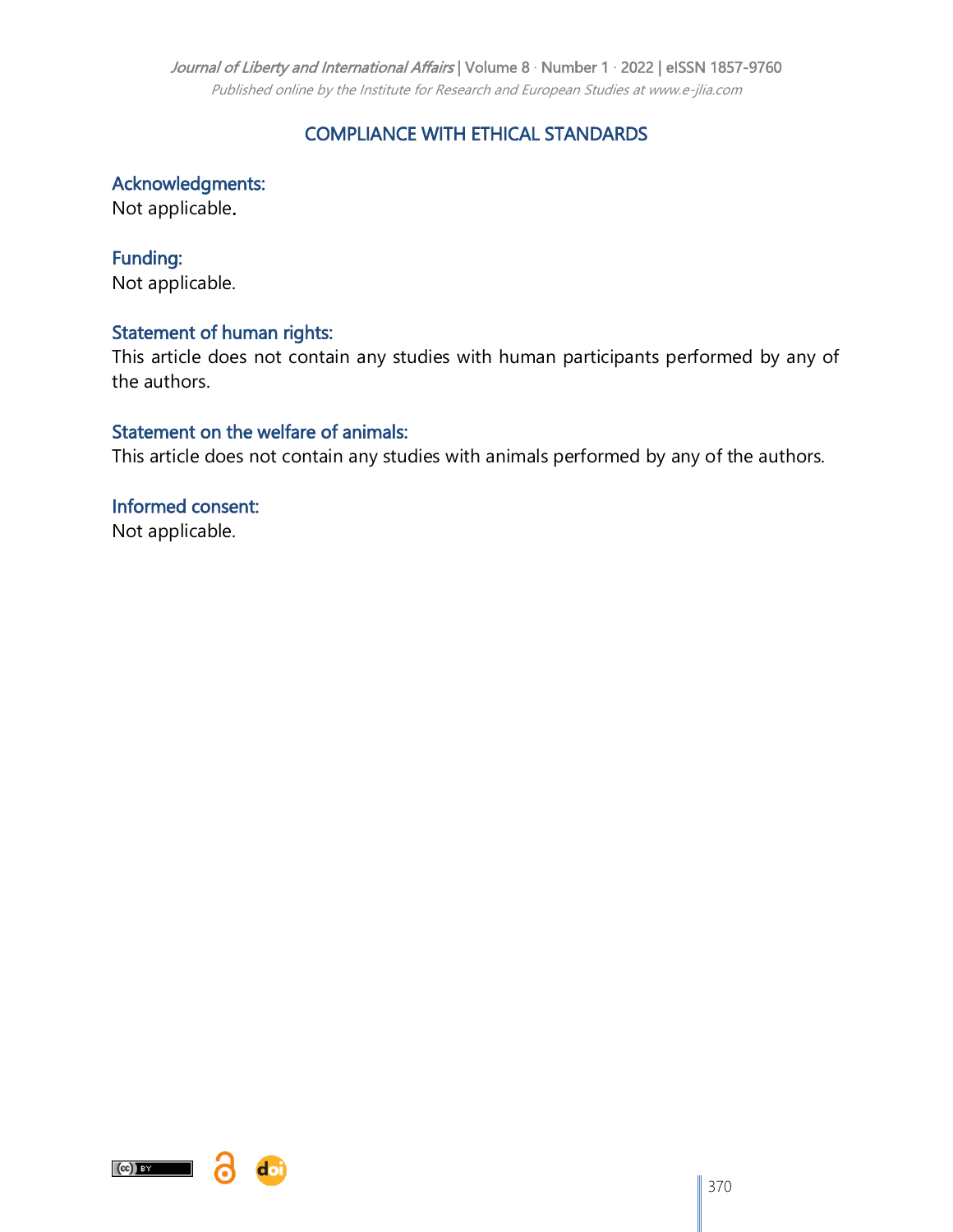#### Journal of Liberty and International Affairs | Volume 8 · Number 1 · 2022 | eISSN 1857-9760

Published online by the Institute for Research and European Studies at www.e-jlia.com

## COMPLIANCE WITH ETHICAL STANDARDS

Acknowledgments:

Not applicable.

Funding: Not applicable.

#### Statement of human rights:

This article does not contain any studies with human participants performed by any of the authors.

#### Statement on the welfare of animals:

This article does not contain any studies with animals performed by any of the authors.

Informed consent: Not applicable.



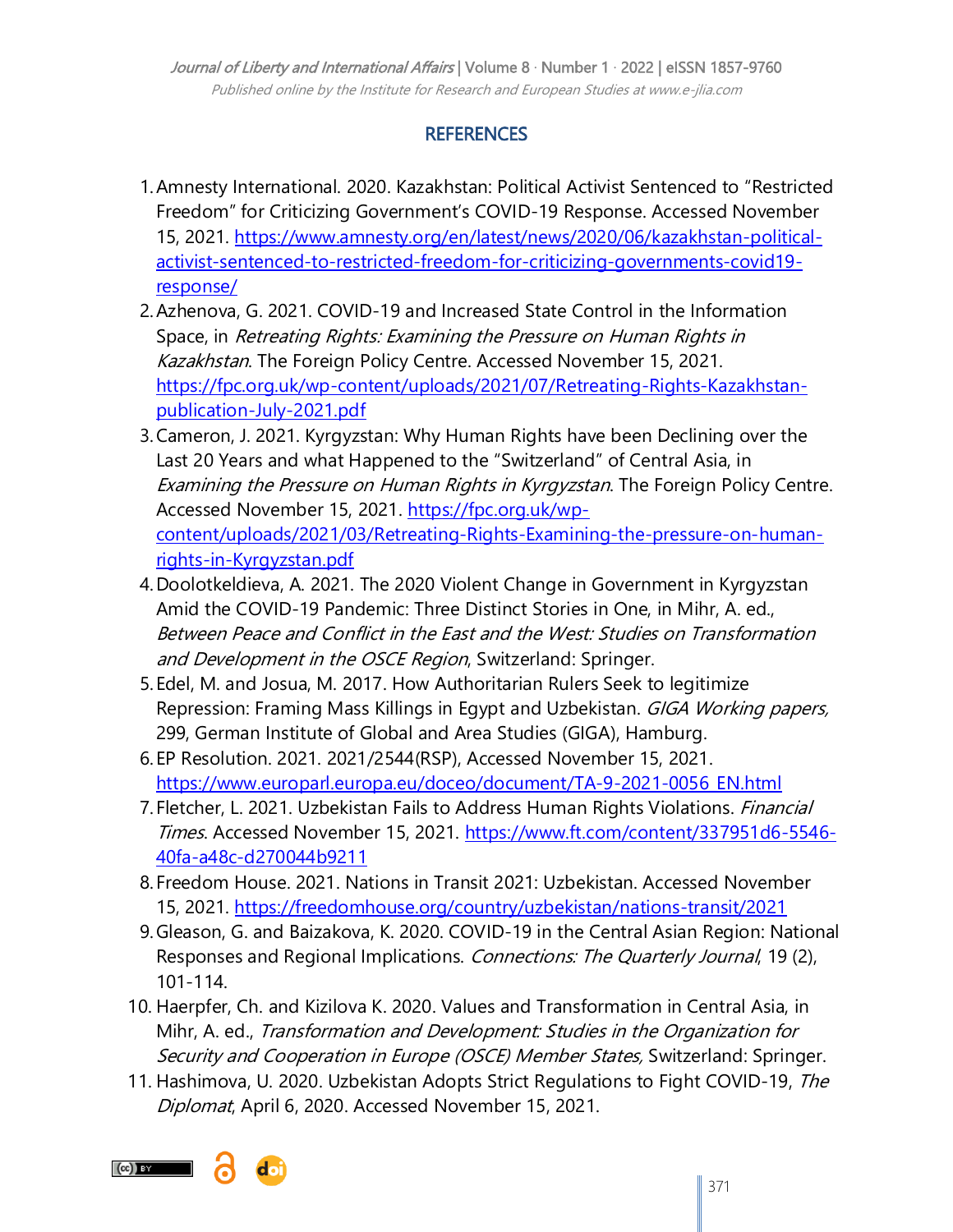# **REFERENCES**

- 1.Amnesty International. 2020. Kazakhstan: Political Activist Sentenced to "Restricted Freedom" for Criticizing Government's COVID-19 Response. Accessed November 15, 2021. [https://www.amnesty.org/en/latest/news/2020/06/kazakhstan-political](https://www.amnesty.org/en/latest/news/2020/06/kazakhstan-political-activist-sentenced-to-restricted-freedom-for-criticizing-governments-covid19-response/)[activist-sentenced-to-restricted-freedom-for-criticizing-governments-covid19](https://www.amnesty.org/en/latest/news/2020/06/kazakhstan-political-activist-sentenced-to-restricted-freedom-for-criticizing-governments-covid19-response/) [response/](https://www.amnesty.org/en/latest/news/2020/06/kazakhstan-political-activist-sentenced-to-restricted-freedom-for-criticizing-governments-covid19-response/)
- 2.Azhenova, G. 2021. COVID-19 and Increased State Control in the Information Space, in Retreating Rights: Examining the Pressure on Human Rights in Kazakhstan. The Foreign Policy Centre. Accessed November 15, 2021. [https://fpc.org.uk/wp-content/uploads/2021/07/Retreating-Rights-Kazakhstan](https://fpc.org.uk/wp-content/uploads/2021/07/Retreating-Rights-Kazakhstan-publication-July-2021.pdf)[publication-July-2021.pdf](https://fpc.org.uk/wp-content/uploads/2021/07/Retreating-Rights-Kazakhstan-publication-July-2021.pdf)
- 3.Cameron, J. 2021. Kyrgyzstan: Why Human Rights have been Declining over the Last 20 Years and what Happened to the "Switzerland" of Central Asia, in Examining the Pressure on Human Rights in Kyrgyzstan. The Foreign Policy Centre. Accessed November 15, 2021. [https://fpc.org.uk/wp](https://fpc.org.uk/wp-content/uploads/2021/03/Retreating-Rights-Examining-the-pressure-on-human-rights-in-Kyrgyzstan.pdf)[content/uploads/2021/03/Retreating-Rights-Examining-the-pressure-on-human](https://fpc.org.uk/wp-content/uploads/2021/03/Retreating-Rights-Examining-the-pressure-on-human-rights-in-Kyrgyzstan.pdf)[rights-in-Kyrgyzstan.pdf](https://fpc.org.uk/wp-content/uploads/2021/03/Retreating-Rights-Examining-the-pressure-on-human-rights-in-Kyrgyzstan.pdf)
- 4.Doolotkeldieva, A. 2021. The 2020 Violent Change in Government in Kyrgyzstan Amid the COVID-19 Pandemic: Three Distinct Stories in One, in Mihr, A. ed., Between Peace and Conflict in the East and the West: Studies on Transformation and Development in the OSCE Region, Switzerland: Springer.
- 5.Edel, M. and Josua, M. 2017. How Authoritarian Rulers Seek to legitimize Repression: Framing Mass Killings in Egypt and Uzbekistan. GIGA Working papers, 299, German Institute of Global and Area Studies (GIGA), Hamburg.
- 6.EP Resolution. 2021. 2021/2544(RSP), Accessed November 15, 2021. [https://www.europarl.europa.eu/doceo/document/TA-9-2021-0056\\_EN.html](https://www.europarl.europa.eu/doceo/document/TA-9-2021-0056_EN.html)
- 7. Fletcher, L. 2021. Uzbekistan Fails to Address Human Rights Violations. Financial Times. Accessed November 15, 2021. [https://www.ft.com/content/337951d6-5546-](https://www.ft.com/content/337951d6-5546-40fa-a48c-d270044b9211) [40fa-a48c-d270044b9211](https://www.ft.com/content/337951d6-5546-40fa-a48c-d270044b9211)
- 8.Freedom House. 2021. Nations in Transit 2021: Uzbekistan. Accessed November 15, 2021.<https://freedomhouse.org/country/uzbekistan/nations-transit/2021>
- 9.Gleason, G. and Baizakova, K. 2020. COVID-19 in the Central Asian Region: National Responses and Regional Implications. Connections: The Quarterly Journal, 19 (2), 101-114.
- 10. Haerpfer, Ch. and Kizilova K. 2020. Values and Transformation in Central Asia, in Mihr, A. ed., Transformation and Development: Studies in the Organization for Security and Cooperation in Europe (OSCE) Member States, Switzerland: Springer.
- 11. Hashimova, U. 2020. Uzbekistan Adopts Strict Regulations to Fight COVID-19, The Diplomat, April 6, 2020. Accessed November 15, 2021.

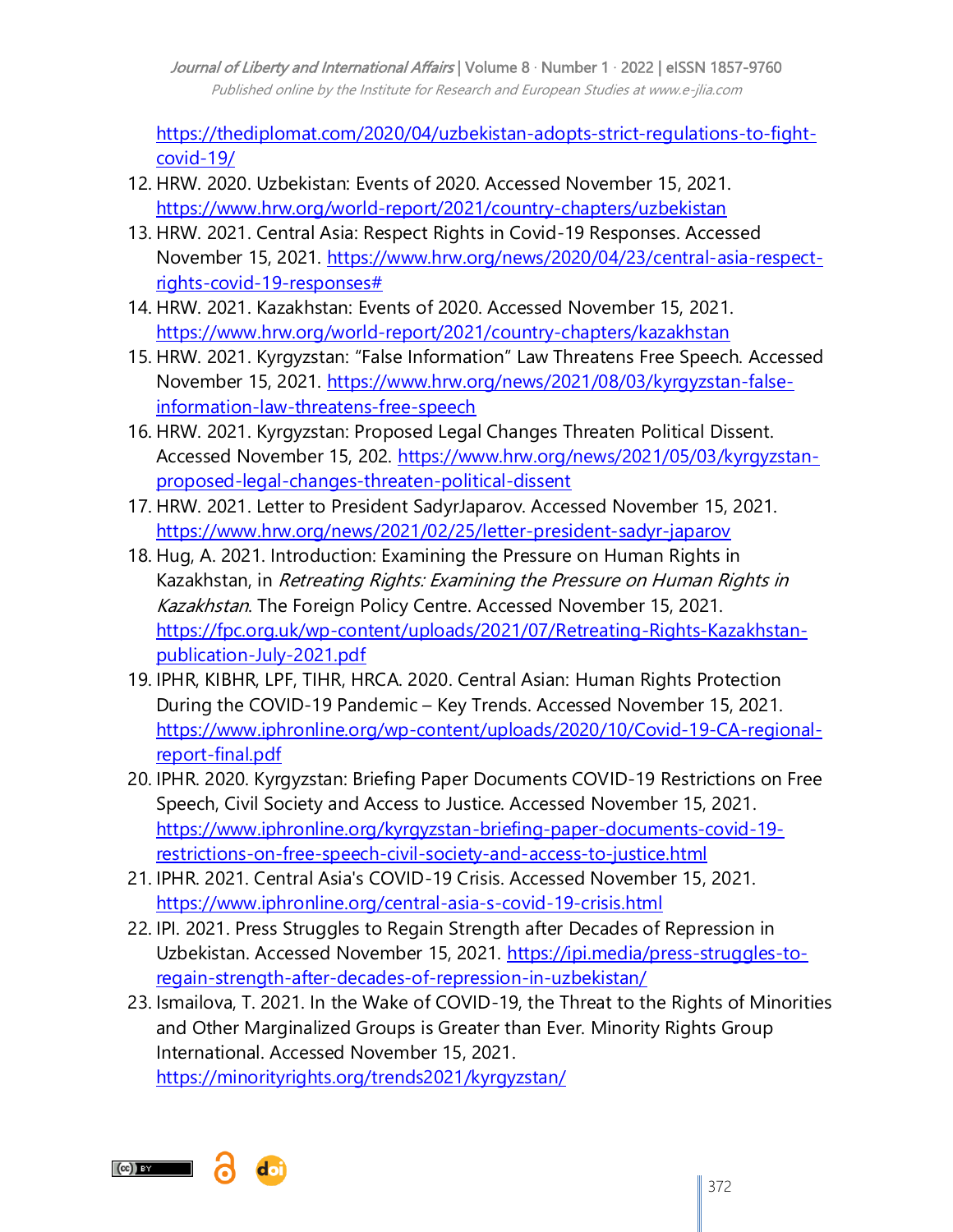Journal of Liberty and International Affairs | Volume 8 · Number 1 · 2022 | eISSN 1857-9760 Published online by the Institute for Research and European Studies at www.e-jlia.com

[https://thediplomat.com/2020/04/uzbekistan-adopts-strict-regulations-to-fight](https://thediplomat.com/2020/04/uzbekistan-adopts-strict-regulations-to-fight-covid-19/)[covid-19/](https://thediplomat.com/2020/04/uzbekistan-adopts-strict-regulations-to-fight-covid-19/)

- 12. HRW. 2020. Uzbekistan: Events of 2020. Accessed November 15, 2021. <https://www.hrw.org/world-report/2021/country-chapters/uzbekistan>
- 13. HRW. 2021. Central Asia: Respect Rights in Covid-19 Responses. Accessed November 15, 2021. [https://www.hrw.org/news/2020/04/23/central-asia-respect](https://www.hrw.org/news/2020/04/23/central-asia-respect-rights-covid-19-responses)[rights-covid-19-responses#](https://www.hrw.org/news/2020/04/23/central-asia-respect-rights-covid-19-responses)
- 14. HRW. 2021. Kazakhstan: Events of 2020. Accessed November 15, 2021. <https://www.hrw.org/world-report/2021/country-chapters/kazakhstan>
- 15. HRW. 2021. Kyrgyzstan: "False Information" Law Threatens Free Speech. Accessed November 15, 2021. [https://www.hrw.org/news/2021/08/03/kyrgyzstan-false](https://www.hrw.org/news/2021/08/03/kyrgyzstan-false-information-law-threatens-free-speech)[information-law-threatens-free-speech](https://www.hrw.org/news/2021/08/03/kyrgyzstan-false-information-law-threatens-free-speech)
- 16. HRW. 2021. Kyrgyzstan: Proposed Legal Changes Threaten Political Dissent. Accessed November 15, 202. [https://www.hrw.org/news/2021/05/03/kyrgyzstan](https://www.hrw.org/news/2021/05/03/kyrgyzstan-proposed-legal-changes-threaten-political-dissent)[proposed-legal-changes-threaten-political-dissent](https://www.hrw.org/news/2021/05/03/kyrgyzstan-proposed-legal-changes-threaten-political-dissent)
- 17. HRW. 2021. Letter to President SadyrJaparov. Accessed November 15, 2021. <https://www.hrw.org/news/2021/02/25/letter-president-sadyr-japarov>
- 18. Hug, A. 2021. Introduction: Examining the Pressure on Human Rights in Kazakhstan, in Retreating Rights: Examining the Pressure on Human Rights in Kazakhstan. The Foreign Policy Centre. Accessed November 15, 2021. [https://fpc.org.uk/wp-content/uploads/2021/07/Retreating-Rights-Kazakhstan](https://fpc.org.uk/wp-content/uploads/2021/07/Retreating-Rights-Kazakhstan-publication-July-2021.pdf)[publication-July-2021.pdf](https://fpc.org.uk/wp-content/uploads/2021/07/Retreating-Rights-Kazakhstan-publication-July-2021.pdf)
- 19. IPHR, KIBHR, LPF, TIHR, HRCA. 2020. Central Asian: Human Rights Protection During the COVID-19 Pandemic – Key Trends. Accessed November 15, 2021. [https://www.iphronline.org/wp-content/uploads/2020/10/Covid-19-CA-regional](https://www.iphronline.org/wp-content/uploads/2020/10/Covid-19-CA-regional-report-final.pdf)[report-final.pdf](https://www.iphronline.org/wp-content/uploads/2020/10/Covid-19-CA-regional-report-final.pdf)
- 20. IPHR. 2020. Kyrgyzstan: Briefing Paper Documents COVID-19 Restrictions on Free Speech, Civil Society and Access to Justice. Accessed November 15, 2021. [https://www.iphronline.org/kyrgyzstan-briefing-paper-documents-covid-19](https://www.iphronline.org/kyrgyzstan-briefing-paper-documents-covid-19-restrictions-on-free-speech-civil-society-and-access-to-justice.html) [restrictions-on-free-speech-civil-society-and-access-to-justice.html](https://www.iphronline.org/kyrgyzstan-briefing-paper-documents-covid-19-restrictions-on-free-speech-civil-society-and-access-to-justice.html)
- 21. IPHR. 2021. Central Asia's COVID-19 Crisis. Accessed November 15, 2021. <https://www.iphronline.org/central-asia-s-covid-19-crisis.html>
- 22. IPI. 2021. Press Struggles to Regain Strength after Decades of Repression in Uzbekistan. Accessed November 15, 2021. [https://ipi.media/press-struggles-to](https://ipi.media/press-struggles-to-regain-strength-after-decades-of-repression-in-uzbekistan/)[regain-strength-after-decades-of-repression-in-uzbekistan/](https://ipi.media/press-struggles-to-regain-strength-after-decades-of-repression-in-uzbekistan/)
- 23. Ismailova, T. 2021. In the Wake of COVID-19, the Threat to the Rights of Minorities and Other Marginalized Groups is Greater than Ever. Minority Rights Group International. Accessed November 15, 2021. <https://minorityrights.org/trends2021/kyrgyzstan/>

 $(Cc)$  BY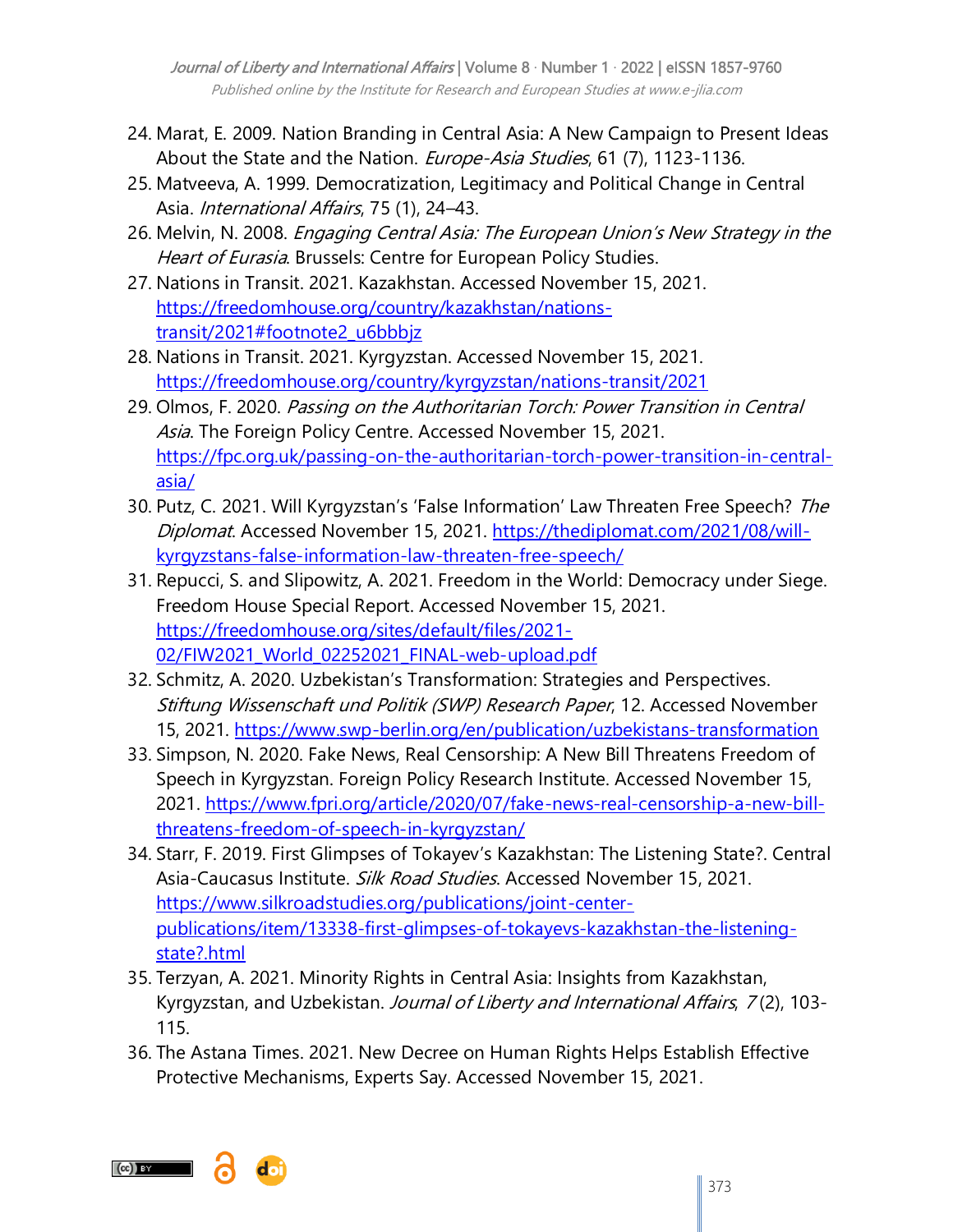Journal of Liberty and International Affairs | Volume 8 · Number 1 · 2022 | eISSN 1857-9760 Published online by the Institute for Research and European Studies at www.e-jlia.com

- 24. Marat, E. 2009. Nation Branding in Central Asia: A New Campaign to Present Ideas About the State and the Nation. Europe-Asia Studies, 61 (7), 1123-1136.
- 25. Matveeva, A. 1999. Democratization, Legitimacy and Political Change in Central Asia. International Affairs, 75 (1), 24–43.
- 26. Melvin, N. 2008. Engaging Central Asia: The European Union's New Strategy in the Heart of Eurasia. Brussels: Centre for European Policy Studies.
- 27. Nations in Transit. 2021. Kazakhstan. Accessed November 15, 2021. [https://freedomhouse.org/country/kazakhstan/nations](https://freedomhouse.org/country/kazakhstan/nations-transit/2021#footnote2_u6bbbjz)[transit/2021#footnote2\\_u6bbbjz](https://freedomhouse.org/country/kazakhstan/nations-transit/2021#footnote2_u6bbbjz)
- 28. Nations in Transit. 2021. Kyrgyzstan. Accessed November 15, 2021. <https://freedomhouse.org/country/kyrgyzstan/nations-transit/2021>
- 29. Olmos, F. 2020. Passing on the Authoritarian Torch: Power Transition in Central Asia. The Foreign Policy Centre. Accessed November 15, 2021. [https://fpc.org.uk/passing-on-the-authoritarian-torch-power-transition-in-central](https://fpc.org.uk/passing-on-the-authoritarian-torch-power-transition-in-central-asia/)[asia/](https://fpc.org.uk/passing-on-the-authoritarian-torch-power-transition-in-central-asia/)
- 30. Putz, C. 2021. Will Kyrgyzstan's 'False Information' Law Threaten Free Speech? The Diplomat. Accessed November 15, 2021. [https://thediplomat.com/2021/08/will](https://thediplomat.com/2021/08/will-kyrgyzstans-false-information-law-threaten-free-speech/)[kyrgyzstans-false-information-law-threaten-free-speech/](https://thediplomat.com/2021/08/will-kyrgyzstans-false-information-law-threaten-free-speech/)
- 31. Repucci, S. and Slipowitz, A. 2021. Freedom in the World: Democracy under Siege. Freedom House Special Report. Accessed November 15, 2021. [https://freedomhouse.org/sites/default/files/2021-](https://freedomhouse.org/sites/default/files/2021-02/FIW2021_World_02252021_FINAL-web-upload.pdf) [02/FIW2021\\_World\\_02252021\\_FINAL-web-upload.pdf](https://freedomhouse.org/sites/default/files/2021-02/FIW2021_World_02252021_FINAL-web-upload.pdf)
- 32. Schmitz, A. 2020. Uzbekistan"s Transformation: Strategies and Perspectives. Stiftung Wissenschaft und Politik (SWP) Research Paper, 12. Accessed November 15, 2021.<https://www.swp-berlin.org/en/publication/uzbekistans-transformation>
- 33. Simpson, N. 2020. Fake News, Real Censorship: A New Bill Threatens Freedom of Speech in Kyrgyzstan. Foreign Policy Research Institute. Accessed November 15, 2021. [https://www.fpri.org/article/2020/07/fake-news-real-censorship-a-new-bill](https://www.fpri.org/article/2020/07/fake-news-real-censorship-a-new-bill-threatens-freedom-of-speech-in-kyrgyzstan/)[threatens-freedom-of-speech-in-kyrgyzstan/](https://www.fpri.org/article/2020/07/fake-news-real-censorship-a-new-bill-threatens-freedom-of-speech-in-kyrgyzstan/)
- 34. Starr, F. 2019. First Glimpses of Tokayev"s Kazakhstan: The Listening State?. Central Asia-Caucasus Institute. *Silk Road Studies*. Accessed November 15, 2021. [https://www.silkroadstudies.org/publications/joint-center](https://www.silkroadstudies.org/publications/joint-center-publications/item/13338-first-glimpses-of-tokayevs-kazakhstan-the-listening-state?.html)[publications/item/13338-first-glimpses-of-tokayevs-kazakhstan-the-listening](https://www.silkroadstudies.org/publications/joint-center-publications/item/13338-first-glimpses-of-tokayevs-kazakhstan-the-listening-state?.html)[state?.html](https://www.silkroadstudies.org/publications/joint-center-publications/item/13338-first-glimpses-of-tokayevs-kazakhstan-the-listening-state?.html)
- 35. Terzyan, A. 2021. Minority Rights in Central Asia: Insights from Kazakhstan, Kyrgyzstan, and Uzbekistan. Journal of Liberty and International Affairs, 7(2), 103-115.
- 36. The Astana Times. 2021. New Decree on Human Rights Helps Establish Effective Protective Mechanisms, Experts Say. Accessed November 15, 2021.